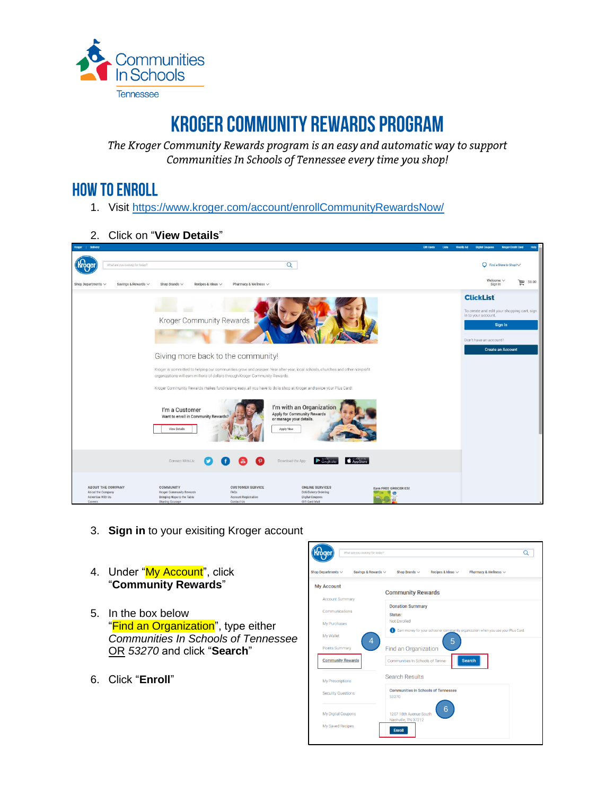

# **KROGER COMMUNITY REWARDS PROGRAM**

The Kroger Community Rewards program is an easy and automatic way to support Communities In Schools of Tennessee every time you shop!

### **HOW TO ENROLL**

- 1. Visit <https://www.kroger.com/account/enrollCommunityRewardsNow/>
- 2. Click on "**View Details**"



- 3. **Sign in** to your exisiting Kroger account
- 4. Under "My Account", click "**Community Rewards**"
- 5. In the box below "Find an Organization", type either *Communities In Schools of Tennessee* OR *53270* and click "**Search**"
- 6. Click "**Enroll**"

| What are you looking for today?                     | Q                                                                                                            |
|-----------------------------------------------------|--------------------------------------------------------------------------------------------------------------|
| Shop Departments $\vee$<br>Savings & Rewards $\vee$ | Shop Brands $\vee$<br>Recipes & Ideas V<br>Pharmacy & Wellness $\vee$                                        |
| <b>My Account</b>                                   | <b>Community Rewards</b>                                                                                     |
| <b>Account Summary</b><br>Communications            | <b>Donation Summary</b>                                                                                      |
| My Purchases                                        | Status:<br>Not Enrolled<br>Earn money for your school or community organization when you use your Plus Card. |
| My Wallet<br>4<br>Points Summary                    | 5                                                                                                            |
| <b>Community Rewards</b>                            | Find an Organization<br><b>Search</b><br>Communities In Schools of Tenne:                                    |
| <b>My Prescriptions</b>                             | Search Results                                                                                               |
| <b>Security Questions</b>                           | <b>Communities in Schools of Tennessee</b><br>53270                                                          |
| My Digital Coupons                                  | 6<br>1207 18th Avenue South<br>Nashville, TN 37212                                                           |
| My Saved Recipes                                    | <b>Enroll</b>                                                                                                |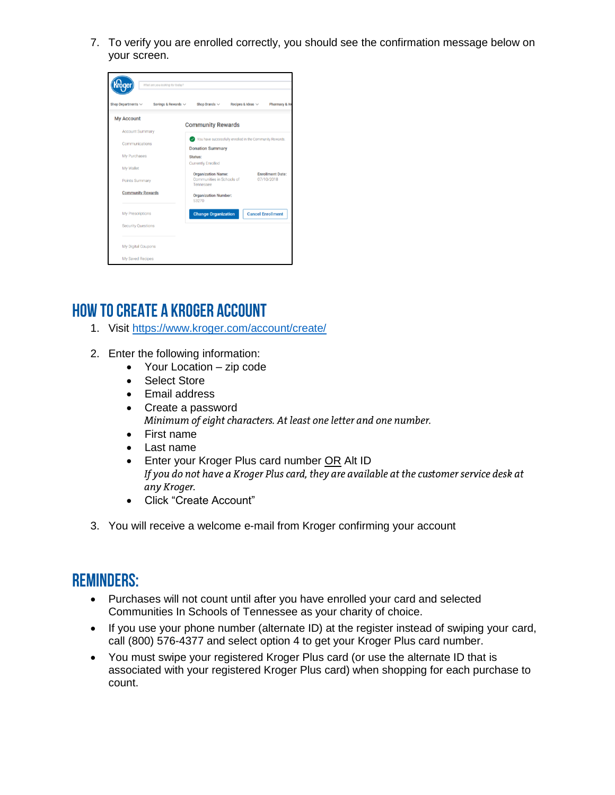7. To verify you are enrolled correctly, you should see the confirmation message below on your screen.

| What are you looking for today?                     |                                                                     |                                         |
|-----------------------------------------------------|---------------------------------------------------------------------|-----------------------------------------|
| Shop Departments $\vee$<br>Savings & Rewards $\vee$ | Shop Brands $\vee$                                                  | Pharmacy & We<br>Recipes & Ideas $\vee$ |
| <b>My Account</b>                                   | <b>Community Rewards</b>                                            |                                         |
| <b>Account Summary</b>                              | You have successfully enrolled in the Community Rewards.            |                                         |
| Communications                                      | <b>Donation Summary</b>                                             |                                         |
| My Purchases                                        | Status:                                                             |                                         |
| My Wallet                                           | <b>Currently Enrolled</b>                                           |                                         |
| Points Summary                                      | <b>Organization Name:</b><br>Communities in Schools of<br>Tennessee | <b>Enrollment Date:</b><br>07/10/2018   |
| <b>Community Rewards</b>                            | <b>Organization Number:</b><br>53270                                |                                         |
| My Prescriptions                                    | <b>Change Organization</b>                                          | <b>Cancel Enrollment</b>                |
| <b>Security Questions</b>                           |                                                                     |                                         |
| My Digital Coupons                                  |                                                                     |                                         |
| My Saved Recipes                                    |                                                                     |                                         |

## **HOW TO CREATE A KROGER ACCOUNT**

- 1. Visit<https://www.kroger.com/account/create/>
- 2. Enter the following information:
	- Your Location zip code
	- Select Store
	- Email address
	- Create a password<br>Minimum of eight characters. At least one letter and one number.
	- First name
	- Last name
	- Enter your Kroger Plus card number OR Alt ID If you do not have a Kroger Plus card, they are available at the customer service desk at any Kroger.
	- Click "Create Account"
- 3. You will receive a welcome e-mail from Kroger confirming your account

### **REMINDERS:**

- Purchases will not count until after you have enrolled your card and selected Communities In Schools of Tennessee as your charity of choice.
- If you use your phone number (alternate ID) at the register instead of swiping your card, call (800) 576-4377 and select option 4 to get your Kroger Plus card number.
- You must swipe your registered Kroger Plus card (or use the alternate ID that is associated with your registered Kroger Plus card) when shopping for each purchase to count.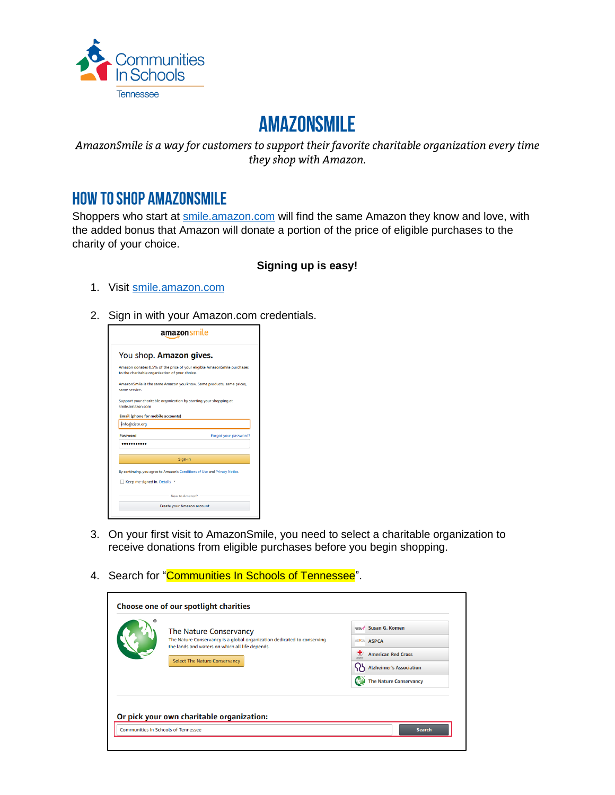

# **AMAZONSMILE**

AmazonSmile is a way for customers to support their favorite charitable organization every time they shop with Amazon.

#### **HOW TO SHOP AMAZONSMILE**

Shoppers who start at<smile.amazon.com> will find the same Amazon they know and love, with the added bonus that Amazon will donate a portion of the price of eligible purchases to the charity of your choice.

#### **Signing up is easy!**

- 1. Visit<smile.amazon.com>
- 2. Sign in with your Amazon.com credentials.



- 3. On your first visit to AmazonSmile, you need to select a charitable organization to receive donations from eligible purchases before you begin shopping.
- 4. Search for "Communities In Schools of Tennessee".

| The Nature Conservancy<br>The Nature Conservancy is a global organization dedicated to conserving<br>the lands and waters on which all life depends.<br><b>Select The Nature Conservancy</b> | Susan G. Komen<br><b>HORAL P</b><br><b>ASPCA</b><br><b>ASPCA</b><br>۰<br><b>American Red Cross</b><br><b>Bragnes</b><br><b>Alzheimer's Association</b><br><b>The Nature Conservancy</b> |
|----------------------------------------------------------------------------------------------------------------------------------------------------------------------------------------------|-----------------------------------------------------------------------------------------------------------------------------------------------------------------------------------------|
| Or pick your own charitable organization:                                                                                                                                                    |                                                                                                                                                                                         |